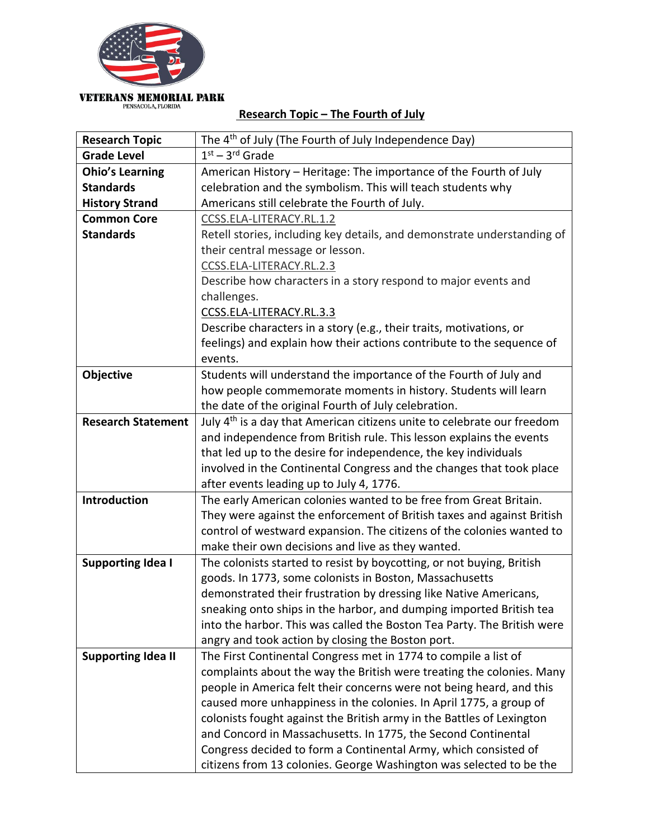

## **VETERANS MEMORIAL PARK**<br>PENSACOLA, FLORIDA

## **Research Topic – The Fourth of July**

| <b>Research Topic</b>     | The 4 <sup>th</sup> of July (The Fourth of July Independence Day)                                                                        |
|---------------------------|------------------------------------------------------------------------------------------------------------------------------------------|
| <b>Grade Level</b>        | $1st - 3rd$ Grade                                                                                                                        |
| <b>Ohio's Learning</b>    | American History - Heritage: The importance of the Fourth of July                                                                        |
| <b>Standards</b>          | celebration and the symbolism. This will teach students why                                                                              |
| <b>History Strand</b>     | Americans still celebrate the Fourth of July.                                                                                            |
| <b>Common Core</b>        | CCSS.ELA-LITERACY.RL.1.2                                                                                                                 |
| <b>Standards</b>          | Retell stories, including key details, and demonstrate understanding of                                                                  |
|                           | their central message or lesson.                                                                                                         |
|                           | CCSS.ELA-LITERACY.RL.2.3                                                                                                                 |
|                           | Describe how characters in a story respond to major events and                                                                           |
|                           | challenges.                                                                                                                              |
|                           | CCSS.ELA-LITERACY.RL.3.3                                                                                                                 |
|                           | Describe characters in a story (e.g., their traits, motivations, or                                                                      |
|                           | feelings) and explain how their actions contribute to the sequence of                                                                    |
|                           | events.                                                                                                                                  |
| Objective                 | Students will understand the importance of the Fourth of July and                                                                        |
|                           | how people commemorate moments in history. Students will learn                                                                           |
|                           | the date of the original Fourth of July celebration.                                                                                     |
| <b>Research Statement</b> | July 4 <sup>th</sup> is a day that American citizens unite to celebrate our freedom                                                      |
|                           | and independence from British rule. This lesson explains the events                                                                      |
|                           | that led up to the desire for independence, the key individuals                                                                          |
|                           | involved in the Continental Congress and the changes that took place                                                                     |
|                           | after events leading up to July 4, 1776.                                                                                                 |
| Introduction              | The early American colonies wanted to be free from Great Britain.                                                                        |
|                           | They were against the enforcement of British taxes and against British                                                                   |
|                           | control of westward expansion. The citizens of the colonies wanted to                                                                    |
|                           | make their own decisions and live as they wanted.                                                                                        |
| <b>Supporting Idea I</b>  | The colonists started to resist by boycotting, or not buying, British                                                                    |
|                           | goods. In 1773, some colonists in Boston, Massachusetts                                                                                  |
|                           | demonstrated their frustration by dressing like Native Americans,                                                                        |
|                           | sneaking onto ships in the harbor, and dumping imported British tea                                                                      |
|                           | into the harbor. This was called the Boston Tea Party. The British were                                                                  |
| <b>Supporting Idea II</b> | angry and took action by closing the Boston port.                                                                                        |
|                           | The First Continental Congress met in 1774 to compile a list of<br>complaints about the way the British were treating the colonies. Many |
|                           | people in America felt their concerns were not being heard, and this                                                                     |
|                           | caused more unhappiness in the colonies. In April 1775, a group of                                                                       |
|                           | colonists fought against the British army in the Battles of Lexington                                                                    |
|                           | and Concord in Massachusetts. In 1775, the Second Continental                                                                            |
|                           | Congress decided to form a Continental Army, which consisted of                                                                          |
|                           |                                                                                                                                          |
|                           | citizens from 13 colonies. George Washington was selected to be the                                                                      |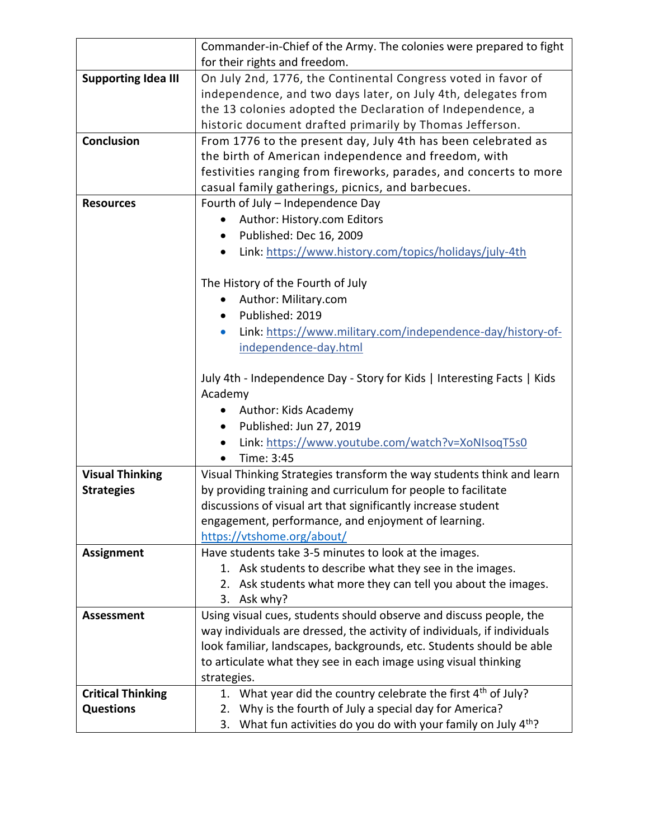|                            | Commander-in-Chief of the Army. The colonies were prepared to fight            |
|----------------------------|--------------------------------------------------------------------------------|
|                            | for their rights and freedom.                                                  |
| <b>Supporting Idea III</b> | On July 2nd, 1776, the Continental Congress voted in favor of                  |
|                            | independence, and two days later, on July 4th, delegates from                  |
|                            | the 13 colonies adopted the Declaration of Independence, a                     |
|                            | historic document drafted primarily by Thomas Jefferson.                       |
| Conclusion                 | From 1776 to the present day, July 4th has been celebrated as                  |
|                            | the birth of American independence and freedom, with                           |
|                            | festivities ranging from fireworks, parades, and concerts to more              |
|                            | casual family gatherings, picnics, and barbecues.                              |
| <b>Resources</b>           | Fourth of July - Independence Day                                              |
|                            | Author: History.com Editors                                                    |
|                            | Published: Dec 16, 2009<br>$\bullet$                                           |
|                            | Link: https://www.history.com/topics/holidays/july-4th                         |
|                            |                                                                                |
|                            | The History of the Fourth of July                                              |
|                            | Author: Military.com                                                           |
|                            | Published: 2019<br>$\bullet$                                                   |
|                            | Link: https://www.military.com/independence-day/history-of-<br>$\bullet$       |
|                            | independence-day.html                                                          |
|                            |                                                                                |
|                            | July 4th - Independence Day - Story for Kids   Interesting Facts   Kids        |
|                            | Academy                                                                        |
|                            | Author: Kids Academy                                                           |
|                            | Published: Jun 27, 2019<br>$\bullet$                                           |
|                            | Link: https://www.youtube.com/watch?v=XoNIsoqT5s0                              |
|                            | Time: 3:45<br>$\bullet$                                                        |
| <b>Visual Thinking</b>     | Visual Thinking Strategies transform the way students think and learn          |
| <b>Strategies</b>          | by providing training and curriculum for people to facilitate                  |
|                            | discussions of visual art that significantly increase student                  |
|                            | engagement, performance, and enjoyment of learning.                            |
|                            | https://vtshome.org/about/                                                     |
| <b>Assignment</b>          | Have students take 3-5 minutes to look at the images.                          |
|                            | 1. Ask students to describe what they see in the images.                       |
|                            | Ask students what more they can tell you about the images.<br>2.               |
|                            | 3. Ask why?                                                                    |
| <b>Assessment</b>          | Using visual cues, students should observe and discuss people, the             |
|                            | way individuals are dressed, the activity of individuals, if individuals       |
|                            | look familiar, landscapes, backgrounds, etc. Students should be able           |
|                            | to articulate what they see in each image using visual thinking                |
|                            | strategies.                                                                    |
| <b>Critical Thinking</b>   | What year did the country celebrate the first 4 <sup>th</sup> of July?<br>1.   |
| <b>Questions</b>           | Why is the fourth of July a special day for America?<br>2.                     |
|                            | What fun activities do you do with your family on July 4 <sup>th</sup> ?<br>3. |